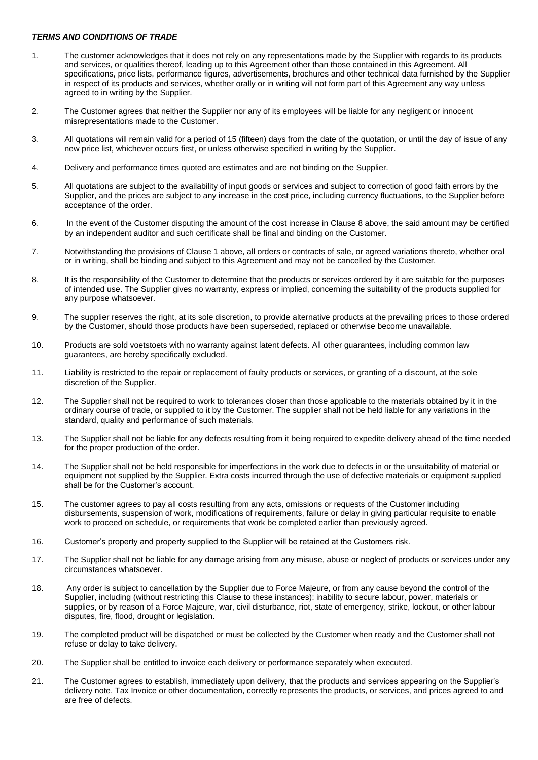## *TERMS AND CONDITIONS OF TRADE*

- 1. The customer acknowledges that it does not rely on any representations made by the Supplier with regards to its products and services, or qualities thereof, leading up to this Agreement other than those contained in this Agreement. All specifications, price lists, performance figures, advertisements, brochures and other technical data furnished by the Supplier in respect of its products and services, whether orally or in writing will not form part of this Agreement any way unless agreed to in writing by the Supplier.
- 2. The Customer agrees that neither the Supplier nor any of its employees will be liable for any negligent or innocent misrepresentations made to the Customer.
- 3. All quotations will remain valid for a period of 15 (fifteen) days from the date of the quotation, or until the day of issue of any new price list, whichever occurs first, or unless otherwise specified in writing by the Supplier.
- 4. Delivery and performance times quoted are estimates and are not binding on the Supplier.
- 5. All quotations are subject to the availability of input goods or services and subject to correction of good faith errors by the Supplier, and the prices are subject to any increase in the cost price, including currency fluctuations, to the Supplier before acceptance of the order.
- 6. In the event of the Customer disputing the amount of the cost increase in Clause 8 above, the said amount may be certified by an independent auditor and such certificate shall be final and binding on the Customer.
- 7. Notwithstanding the provisions of Clause 1 above, all orders or contracts of sale, or agreed variations thereto, whether oral or in writing, shall be binding and subject to this Agreement and may not be cancelled by the Customer.
- 8. It is the responsibility of the Customer to determine that the products or services ordered by it are suitable for the purposes of intended use. The Supplier gives no warranty, express or implied, concerning the suitability of the products supplied for any purpose whatsoever.
- 9. The supplier reserves the right, at its sole discretion, to provide alternative products at the prevailing prices to those ordered by the Customer, should those products have been superseded, replaced or otherwise become unavailable.
- 10. Products are sold voetstoets with no warranty against latent defects. All other guarantees, including common law guarantees, are hereby specifically excluded.
- 11. Liability is restricted to the repair or replacement of faulty products or services, or granting of a discount, at the sole discretion of the Supplier.
- 12. The Supplier shall not be required to work to tolerances closer than those applicable to the materials obtained by it in the ordinary course of trade, or supplied to it by the Customer. The supplier shall not be held liable for any variations in the standard, quality and performance of such materials.
- 13. The Supplier shall not be liable for any defects resulting from it being required to expedite delivery ahead of the time needed for the proper production of the order.
- 14. The Supplier shall not be held responsible for imperfections in the work due to defects in or the unsuitability of material or equipment not supplied by the Supplier. Extra costs incurred through the use of defective materials or equipment supplied shall be for the Customer's account.
- 15. The customer agrees to pay all costs resulting from any acts, omissions or requests of the Customer including disbursements, suspension of work, modifications of requirements, failure or delay in giving particular requisite to enable work to proceed on schedule, or requirements that work be completed earlier than previously agreed.
- 16. Customer's property and property supplied to the Supplier will be retained at the Customers risk.
- 17. The Supplier shall not be liable for any damage arising from any misuse, abuse or neglect of products or services under any circumstances whatsoever.
- 18. Any order is subject to cancellation by the Supplier due to Force Majeure, or from any cause beyond the control of the Supplier, including (without restricting this Clause to these instances): inability to secure labour, power, materials or supplies, or by reason of a Force Majeure, war, civil disturbance, riot, state of emergency, strike, lockout, or other labour disputes, fire, flood, drought or legislation.
- 19. The completed product will be dispatched or must be collected by the Customer when ready and the Customer shall not refuse or delay to take delivery.
- 20. The Supplier shall be entitled to invoice each delivery or performance separately when executed.
- 21. The Customer agrees to establish, immediately upon delivery, that the products and services appearing on the Supplier's delivery note, Tax Invoice or other documentation, correctly represents the products, or services, and prices agreed to and are free of defects.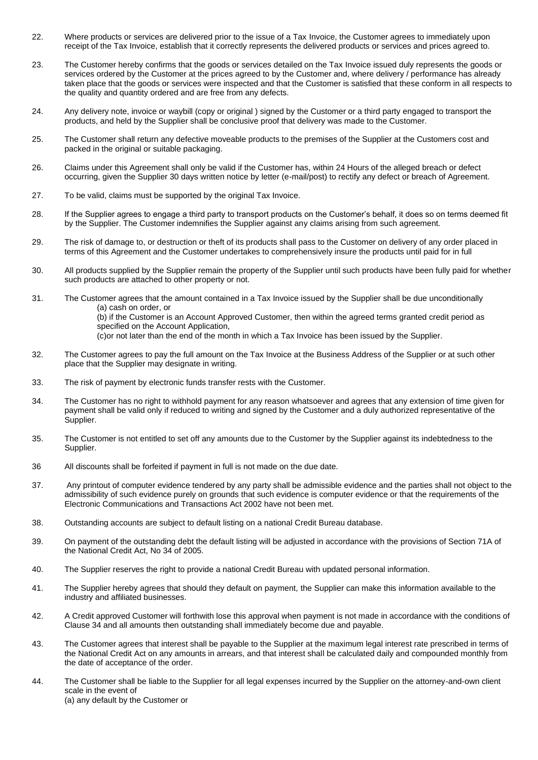- 22. Where products or services are delivered prior to the issue of a Tax Invoice, the Customer agrees to immediately upon receipt of the Tax Invoice, establish that it correctly represents the delivered products or services and prices agreed to.
- 23. The Customer hereby confirms that the goods or services detailed on the Tax Invoice issued duly represents the goods or services ordered by the Customer at the prices agreed to by the Customer and, where delivery / performance has already taken place that the goods or services were inspected and that the Customer is satisfied that these conform in all respects to the quality and quantity ordered and are free from any defects.
- 24. Any delivery note, invoice or waybill (copy or original ) signed by the Customer or a third party engaged to transport the products, and held by the Supplier shall be conclusive proof that delivery was made to the Customer.
- 25. The Customer shall return any defective moveable products to the premises of the Supplier at the Customers cost and packed in the original or suitable packaging.
- 26. Claims under this Agreement shall only be valid if the Customer has, within 24 Hours of the alleged breach or defect occurring, given the Supplier 30 days written notice by letter (e-mail/post) to rectify any defect or breach of Agreement.
- 27. To be valid, claims must be supported by the original Tax Invoice.
- 28. If the Supplier agrees to engage a third party to transport products on the Customer's behalf, it does so on terms deemed fit by the Supplier. The Customer indemnifies the Supplier against any claims arising from such agreement.
- 29. The risk of damage to, or destruction or theft of its products shall pass to the Customer on delivery of any order placed in terms of this Agreement and the Customer undertakes to comprehensively insure the products until paid for in full
- 30. All products supplied by the Supplier remain the property of the Supplier until such products have been fully paid for whether such products are attached to other property or not.
- 31. The Customer agrees that the amount contained in a Tax Invoice issued by the Supplier shall be due unconditionally (a) cash on order, or (b) if the Customer is an Account Approved Customer, then within the agreed terms granted credit period as specified on the Account Application, (c)or not later than the end of the month in which a Tax Invoice has been issued by the Supplier.
- 32. The Customer agrees to pay the full amount on the Tax Invoice at the Business Address of the Supplier or at such other place that the Supplier may designate in writing.
- 33. The risk of payment by electronic funds transfer rests with the Customer.
- 34. The Customer has no right to withhold payment for any reason whatsoever and agrees that any extension of time given for payment shall be valid only if reduced to writing and signed by the Customer and a duly authorized representative of the Supplier.
- 35. The Customer is not entitled to set off any amounts due to the Customer by the Supplier against its indebtedness to the Supplier.
- 36 All discounts shall be forfeited if payment in full is not made on the due date.
- 37. Any printout of computer evidence tendered by any party shall be admissible evidence and the parties shall not object to the admissibility of such evidence purely on grounds that such evidence is computer evidence or that the requirements of the Electronic Communications and Transactions Act 2002 have not been met.
- 38. Outstanding accounts are subject to default listing on a national Credit Bureau database.
- 39. On payment of the outstanding debt the default listing will be adjusted in accordance with the provisions of Section 71A of the National Credit Act, No 34 of 2005.
- 40. The Supplier reserves the right to provide a national Credit Bureau with updated personal information.
- 41. The Supplier hereby agrees that should they default on payment, the Supplier can make this information available to the industry and affiliated businesses.
- 42. A Credit approved Customer will forthwith lose this approval when payment is not made in accordance with the conditions of Clause 34 and all amounts then outstanding shall immediately become due and payable.
- 43. The Customer agrees that interest shall be payable to the Supplier at the maximum legal interest rate prescribed in terms of the National Credit Act on any amounts in arrears, and that interest shall be calculated daily and compounded monthly from the date of acceptance of the order.
- 44. The Customer shall be liable to the Supplier for all legal expenses incurred by the Supplier on the attorney-and-own client scale in the event of (a) any default by the Customer or